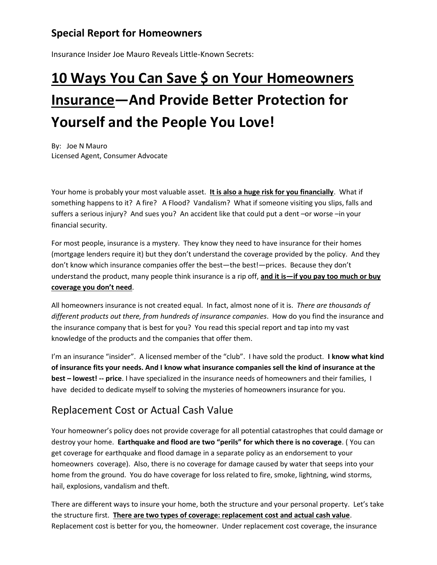# **Special Report for Homeowners**

Insurance Insider Joe Mauro Reveals Little-Known Secrets:

# **10 Ways You Can Save \$ on Your Homeowners Insurance—And Provide Better Protection for Yourself and the People You Love!**

By: Joe N Mauro Licensed Agent, Consumer Advocate

Your home is probably your most valuable asset. **It is also a huge risk for you financially**. What if something happens to it? A fire? A Flood? Vandalism? What if someone visiting you slips, falls and suffers a serious injury? And sues you? An accident like that could put a dent –or worse –in your financial security.

For most people, insurance is a mystery. They know they need to have insurance for their homes (mortgage lenders require it) but they don't understand the coverage provided by the policy. And they don't know which insurance companies offer the best-the best!-prices. Because they don't understand the product, many people think insurance is a rip off, **and it is—if you pay too much or buy coverage you don't need**.

All homeowners insurance is not created equal. In fact, almost none of it is. *There are thousands of different products out there, from hundreds of insurance companies*. How do you find the insurance and the insurance company that is best for you? You read this special report and tap into my vast knowledge of the products and the companies that offer them.

I'm an insurance "insider". A licensed member of the "club". I have sold the product. **I know what kind of insurance fits your needs. And I know what insurance companies sell the kind of insurance at the best – lowest! -- price**. I have specialized in the insurance needs of homeowners and their families, I have decided to dedicate myself to solving the mysteries of homeowners insurance for you.

# Replacement Cost or Actual Cash Value

Your homeowner's policy does not provide coverage for all potential catastrophes that could damage or destroy your home. **Earthquake and flood are two "perils" for which there is no coverage**. ( You can get coverage for earthquake and flood damage in a separate policy as an endorsement to your homeowners coverage). Also, there is no coverage for damage caused by water that seeps into your home from the ground. You do have coverage for loss related to fire, smoke, lightning, wind storms, hail, explosions, vandalism and theft.

There are different ways to insure your home, both the structure and your personal property. Let's take the structure first. **There are two types of coverage: replacement cost and actual cash value**. Replacement cost is better for you, the homeowner. Under replacement cost coverage, the insurance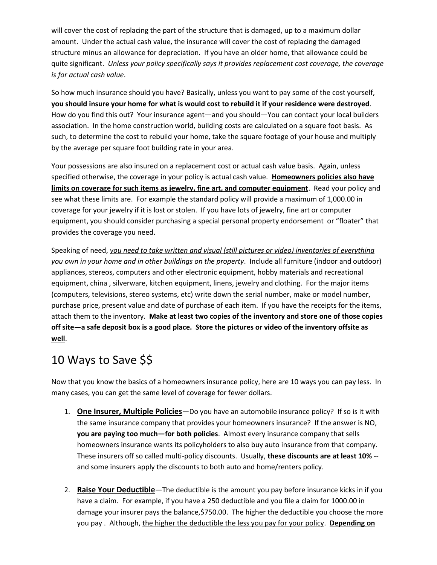will cover the cost of replacing the part of the structure that is damaged, up to a maximum dollar amount. Under the actual cash value, the insurance will cover the cost of replacing the damaged structure minus an allowance for depreciation. If you have an older home, that allowance could be quite significant. *Unless your policy specifically says it provides replacement cost coverage, the coverage is for actual cash value*.

So how much insurance should you have? Basically, unless you want to pay some of the cost yourself, **you should insure your home for what is would cost to rebuild it if your residence were destroyed**. How do you find this out? Your insurance agent—and you should—You can contact your local builders association. In the home construction world, building costs are calculated on a square foot basis. As such, to determine the cost to rebuild your home, take the square footage of your house and multiply by the average per square foot building rate in your area.

Your possessions are also insured on a replacement cost or actual cash value basis. Again, unless specified otherwise, the coverage in your policy is actual cash value. **Homeowners policies also have limits on coverage for such items as jewelry, fine art, and computer equipment**. Read your policy and see what these limits are. For example the standard policy will provide a maximum of 1,000.00 in coverage for your jewelry if it is lost or stolen. If you have lots of jewelry, fine art or computer equipment, you should consider purchasing a special personal property endorsement or "floater" that provides the coverage you need.

Speaking of need, *you need to take written and visual (still pictures or video) inventories of everything you own in your home and in other buildings on the property*. Include all furniture (indoor and outdoor) appliances, stereos, computers and other electronic equipment, hobby materials and recreational equipment, china , silverware, kitchen equipment, linens, jewelry and clothing. For the major items (computers, televisions, stereo systems, etc) write down the serial number, make or model number, purchase price, present value and date of purchase of each item. If you have the receipts for the items, attach them to the inventory. **Make at least two copies of the inventory and store one of those copies off site—a safe deposit box is a good place. Store the pictures or video of the inventory offsite as well**.

# 10 Ways to Save \$\$

Now that you know the basics of a homeowners insurance policy, here are 10 ways you can pay less. In many cases, you can get the same level of coverage for fewer dollars.

- 1. **One Insurer, Multiple Policies**—Do you have an automobile insurance policy? If so is it with the same insurance company that provides your homeowners insurance? If the answer is NO, **you are paying too much—for both policies**. Almost every insurance company that sells homeowners insurance wants its policyholders to also buy auto insurance from that company. These insurers off so called multi-policy discounts. Usually, **these discounts are at least 10%** - and some insurers apply the discounts to both auto and home/renters policy.
- 2. **Raise Your Deductible**—The deductible is the amount you pay before insurance kicks in if you have a claim. For example, if you have a 250 deductible and you file a claim for 1000.00 in damage your insurer pays the balance, \$750.00. The higher the deductible you choose the more you pay . Although, the higher the deductible the less you pay for your policy. **Depending on**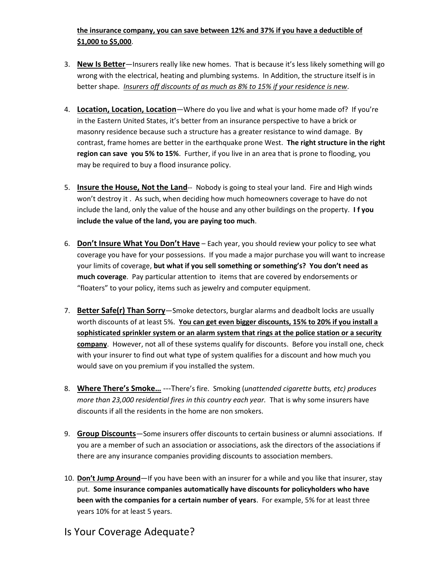#### **the insurance company, you can save between 12% and 37% if you have a deductible of \$1,000 to \$5,000**.

- 3. **New Is Better**—Insurers really like new homes. That is because it's less likely something will go wrong with the electrical, heating and plumbing systems. In Addition, the structure itself is in better shape. *Insurers off discounts of as much as 8% to 15% if your residence is new*.
- 4. **Location, Location, Location**—Where do you live and what is your home made of? If you're in the Eastern United States, it's better from an insurance perspective to have a brick or masonry residence because such a structure has a greater resistance to wind damage. By contrast, frame homes are better in the earthquake prone West. **The right structure in the right region can save you 5% to 15%**. Further, if you live in an area that is prone to flooding, you may be required to buy a flood insurance policy.
- 5. **Insure the House, Not the Land**-- Nobody is going to steal your land. Fire and High winds won't destroy it . As such, when deciding how much homeowners coverage to have do not include the land, only the value of the house and any other buildings on the property. **I f you include the value of the land, you are paying too much**.
- 6. **Don't Insure What You Don't Have** Each year, you should review your policy to see what coverage you have for your possessions. If you made a major purchase you will want to increase your limits of coverage, **but what if you sell something or something's? You don't need as much coverage**. Pay particular attention to items that are covered by endorsements or "floaters" to your policy, items such as jewelry and computer equipment.
- 7. **Better Safe(r) Than Sorry**—Smoke detectors, burglar alarms and deadbolt locks are usually worth discounts of at least 5%. **You can get even bigger discounts, 15% to 20% if you install a sophisticated sprinkler system or an alarm system that rings at the police station or a security company**. However, not all of these systems qualify for discounts. Before you install one, check with your insurer to find out what type of system qualifies for a discount and how much you would save on you premium if you installed the system.
- 8. **Where There's Smoke…** ---There's fire. Smoking (*unattended cigarette butts, etc) produces more than 23,000 residential fires in this country each year.* That is why some insurers have discounts if all the residents in the home are non smokers.
- 9. **Group Discounts**—Some insurers offer discounts to certain business or alumni associations. If you are a member of such an association or associations, ask the directors of the associations if there are any insurance companies providing discounts to association members.
- 10. **Don't Jump Around**—If you have been with an insurer for a while and you like that insurer, stay put. **Some insurance companies automatically have discounts for policyholders who have been with the companies for a certain number of years**. For example, 5% for at least three years 10% for at least 5 years.

# Is Your Coverage Adequate?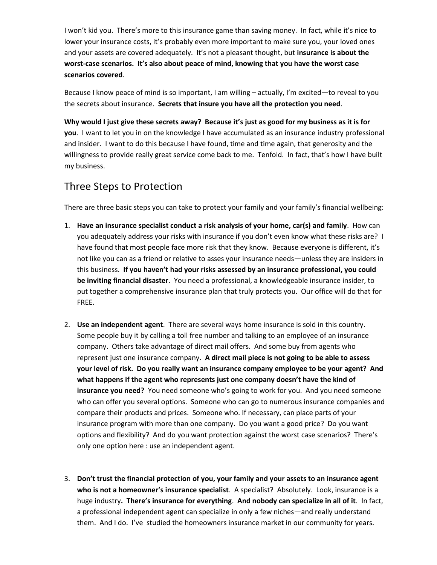I won't kid you. There's more to this insurance game than saving money. In fact, while it's nice to lower your insurance costs, it's probably even more important to make sure you, your loved ones and your assets are covered adequately. It's not a pleasant thought, but **insurance is about the worst-case scenarios. It's also about peace of mind, knowing that you have the worst case scenarios covered**.

Because I know peace of mind is so important, I am willing – actually, I'm excited—to reveal to you the secrets about insurance. **Secrets that insure you have all the protection you need**.

**Why would I just give these secrets away? Because it's just as good for my business as it is for you**. I want to let you in on the knowledge I have accumulated as an insurance industry professional and insider. I want to do this because I have found, time and time again, that generosity and the willingness to provide really great service come back to me. Tenfold. In fact, that's how I have built my business.

### Three Steps to Protection

There are three basic steps you can take to protect your family and your family's financial wellbeing:

- 1. **Have an insurance specialist conduct a risk analysis of your home, car(s) and family**. How can you adequately address your risks with insurance if you don't even know what these risks are? I have found that most people face more risk that they know. Because everyone is different, it's not like you can as a friend or relative to asses your insurance needs—unless they are insiders in this business. **If you haven't had your risks assessed by an insurance professional, you could be inviting financial disaster**. You need a professional, a knowledgeable insurance insider, to put together a comprehensive insurance plan that truly protects you. Our office will do that for FREE.
- 2. **Use an independent agent**. There are several ways home insurance is sold in this country. Some people buy it by calling a toll free number and talking to an employee of an insurance company. Others take advantage of direct mail offers. And some buy from agents who represent just one insurance company. **A direct mail piece is not going to be able to assess your level of risk. Do you really want an insurance company employee to be your agent? And what happens if the agent who represents just one company doesn't have the kind of insurance you need?** You need someone who's going to work for you. And you need someone who can offer you several options. Someone who can go to numerous insurance companies and compare their products and prices. Someone who. If necessary, can place parts of your insurance program with more than one company. Do you want a good price? Do you want options and flexibility? And do you want protection against the worst case scenarios? There's only one option here : use an independent agent.
- 3. **Don't trust the financial protection of you, your family and your assets to an insurance agent who is not a homeowner's insurance specialist**. A specialist? Absolutely. Look, insurance is a huge industry**. There's insurance for everything**. **And nobody can specialize in all of it**. In fact, a professional independent agent can specialize in only a few niches—and really understand them. And I do. I've studied the homeowners insurance market in our community for years.